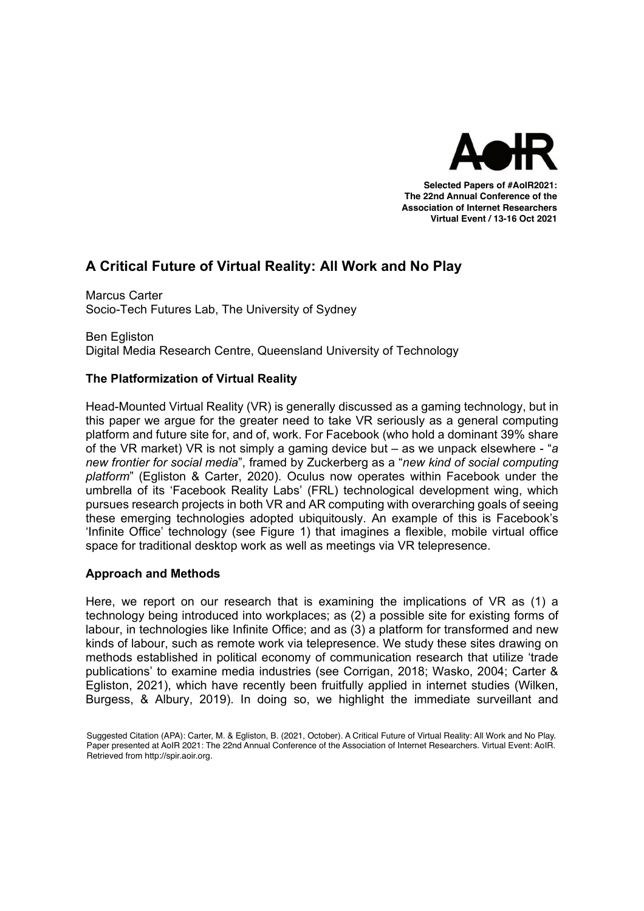

Selected Papers of #AoIR2020: **Selected Papers of #AoIR2021:**  The 22nd Annual Conference of the **The 22nd Annual Conference of the**  Association of Internet Researchers **Association of Internet Researchers Virtual Event / 13-16 Oct 2021** 

# **A Critical Future of Virtual Reality: All Work and No Play**

Marcus Carter Socio-Tech Futures Lab, The University of Sydney

Ben Egliston Digital Media Research Centre, Queensland University of Technology

# **The Platformization of Virtual Reality**

Head-Mounted Virtual Reality (VR) is generally discussed as a gaming technology, but in this paper we argue for the greater need to take VR seriously as a general computing platform and future site for, and of, work. For Facebook (who hold a dominant 39% share of the VR market) VR is not simply a gaming device but – as we unpack elsewhere - "*a new frontier for social media*", framed by Zuckerberg as a "*new kind of social computing platform*" (Egliston & Carter, 2020). Oculus now operates within Facebook under the umbrella of its 'Facebook Reality Labs' (FRL) technological development wing, which pursues research projects in both VR and AR computing with overarching goals of seeing these emerging technologies adopted ubiquitously. An example of this is Facebook's 'Infinite Office' technology (see Figure 1) that imagines a flexible, mobile virtual office space for traditional desktop work as well as meetings via VR telepresence.

# **Approach and Methods**

Here, we report on our research that is examining the implications of VR as (1) a technology being introduced into workplaces; as (2) a possible site for existing forms of labour, in technologies like Infinite Office; and as (3) a platform for transformed and new kinds of labour, such as remote work via telepresence. We study these sites drawing on methods established in political economy of communication research that utilize 'trade publications' to examine media industries (see Corrigan, 2018; Wasko, 2004; Carter & Egliston, 2021), which have recently been fruitfully applied in internet studies (Wilken, Burgess, & Albury, 2019). In doing so, we highlight the immediate surveillant and

Suggested Citation (APA): Carter, M. & Egliston, B. (2021, October). *A Critical Future of Virtual Reality:*  Paper presented at AoIR 2021: The 22nd Annual Conference of the Association of Internet Researchers. Virtual Event: AoIR.<br>Betrieved from http://spir.acir.org Internet Researchers. Philadelphia, PA, USA: AoIR. Retrieved from http://spir.aoir.org. Suggested Citation (APA): Carter, M. & Egliston, B. (2021, October). A Critical Future of Virtual Reality: All Work and No Play. Retrieved from http://spir.aoir.org.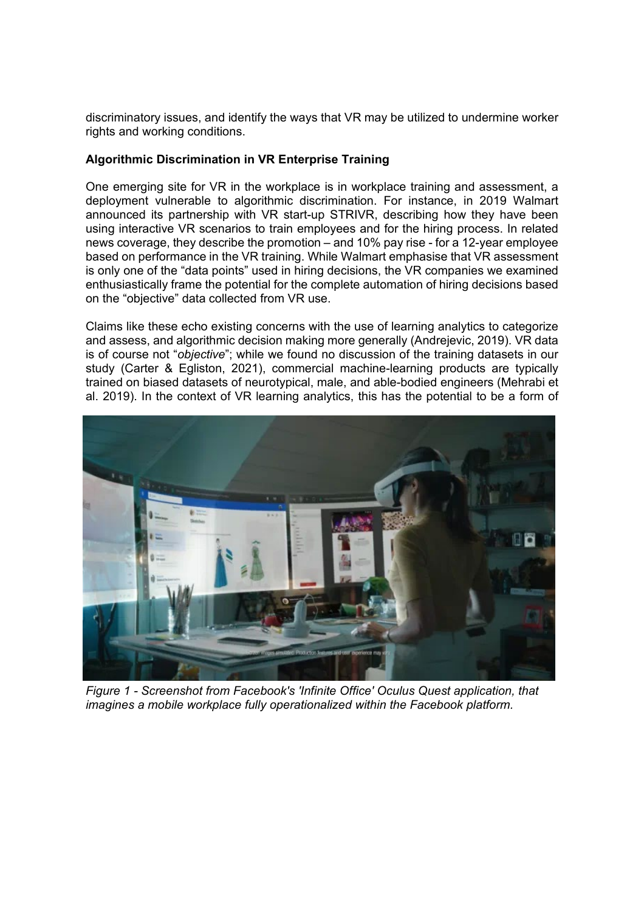discriminatory issues, and identify the ways that VR may be utilized to undermine worker rights and working conditions.

#### **Algorithmic Discrimination in VR Enterprise Training**

One emerging site for VR in the workplace is in workplace training and assessment, a deployment vulnerable to algorithmic discrimination. For instance, in 2019 Walmart announced its partnership with VR start-up STRIVR, describing how they have been using interactive VR scenarios to train employees and for the hiring process. In related news coverage, they describe the promotion – and 10% pay rise - for a 12-year employee based on performance in the VR training. While Walmart emphasise that VR assessment is only one of the "data points" used in hiring decisions, the VR companies we examined enthusiastically frame the potential for the complete automation of hiring decisions based on the "objective" data collected from VR use.

Claims like these echo existing concerns with the use of learning analytics to categorize and assess, and algorithmic decision making more generally (Andrejevic, 2019). VR data is of course not "*objective*"; while we found no discussion of the training datasets in our study (Carter & Egliston, 2021), commercial machine-learning products are typically trained on biased datasets of neurotypical, male, and able-bodied engineers (Mehrabi et al. 2019). In the context of VR learning analytics, this has the potential to be a form of



*Figure 1 - Screenshot from Facebook's 'Infinite Office' Oculus Quest application, that imagines a mobile workplace fully operationalized within the Facebook platform.*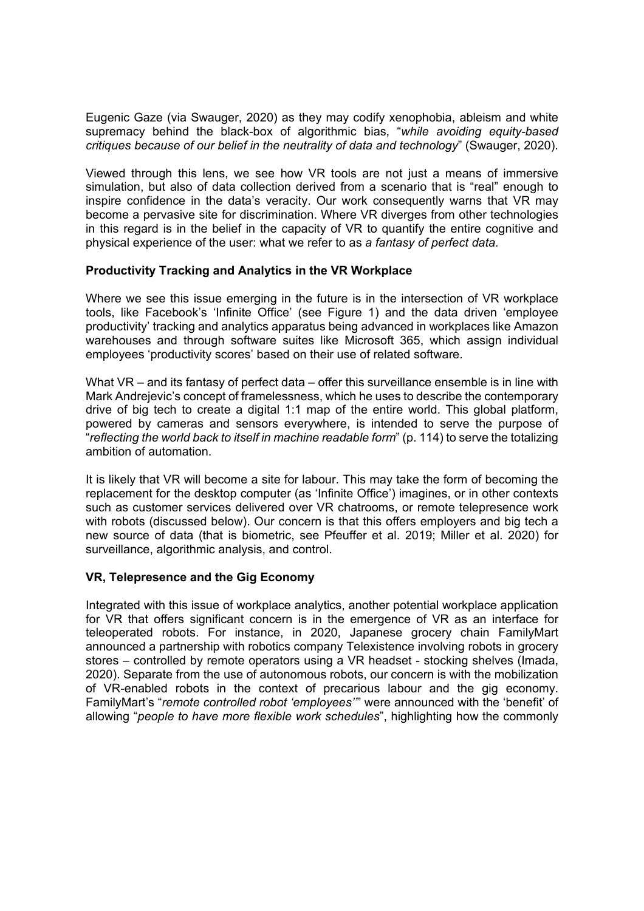Eugenic Gaze (via Swauger, 2020) as they may codify xenophobia, ableism and white supremacy behind the black-box of algorithmic bias, "*while avoiding equity-based critiques because of our belief in the neutrality of data and technology*" (Swauger, 2020).

Viewed through this lens, we see how VR tools are not just a means of immersive simulation, but also of data collection derived from a scenario that is "real" enough to inspire confidence in the data's veracity. Our work consequently warns that VR may become a pervasive site for discrimination. Where VR diverges from other technologies in this regard is in the belief in the capacity of VR to quantify the entire cognitive and physical experience of the user: what we refer to as *a fantasy of perfect data.*

## **Productivity Tracking and Analytics in the VR Workplace**

Where we see this issue emerging in the future is in the intersection of VR workplace tools, like Facebook's 'Infinite Office' (see Figure 1) and the data driven 'employee productivity' tracking and analytics apparatus being advanced in workplaces like Amazon warehouses and through software suites like Microsoft 365, which assign individual employees 'productivity scores' based on their use of related software.

What VR – and its fantasy of perfect data – offer this surveillance ensemble is in line with Mark Andrejevic's concept of framelessness, which he uses to describe the contemporary drive of big tech to create a digital 1:1 map of the entire world. This global platform, powered by cameras and sensors everywhere, is intended to serve the purpose of "*reflecting the world back to itself in machine readable form*" (p. 114) to serve the totalizing ambition of automation.

It is likely that VR will become a site for labour. This may take the form of becoming the replacement for the desktop computer (as 'Infinite Office') imagines, or in other contexts such as customer services delivered over VR chatrooms, or remote telepresence work with robots (discussed below). Our concern is that this offers employers and big tech a new source of data (that is biometric, see Pfeuffer et al. 2019; Miller et al. 2020) for surveillance, algorithmic analysis, and control.

## **VR, Telepresence and the Gig Economy**

Integrated with this issue of workplace analytics, another potential workplace application for VR that offers significant concern is in the emergence of VR as an interface for teleoperated robots. For instance, in 2020, Japanese grocery chain FamilyMart announced a partnership with robotics company Telexistence involving robots in grocery stores – controlled by remote operators using a VR headset - stocking shelves (Imada, 2020). Separate from the use of autonomous robots, our concern is with the mobilization of VR-enabled robots in the context of precarious labour and the gig economy. FamilyMart's "*remote controlled robot 'employees''*" were announced with the 'benefit' of allowing "*people to have more flexible work schedules*", highlighting how the commonly